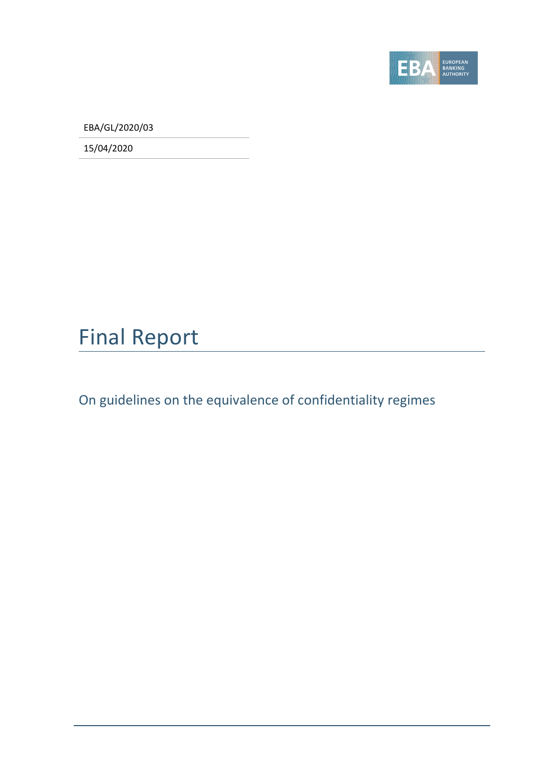

EBA/GL/2020/03

15/04/2020

### Final Report

On guidelines on the equivalence of confidentiality regimes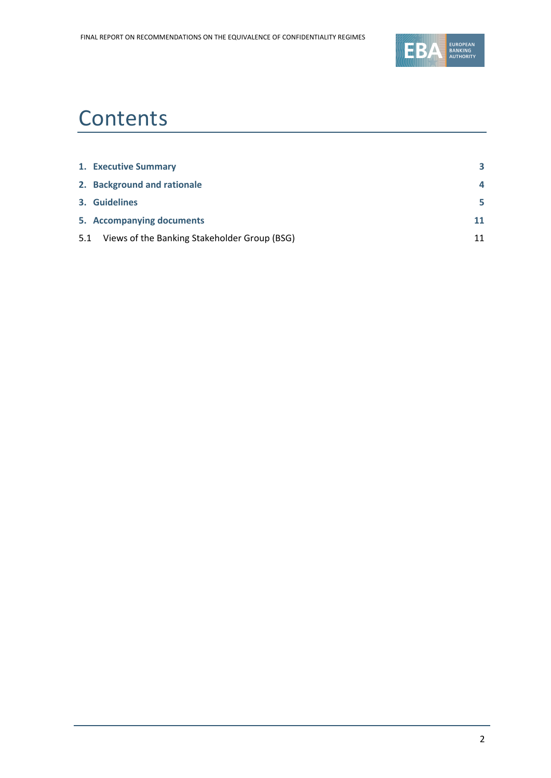

### **Contents**

|     | 1. Executive Summary                         | 3  |
|-----|----------------------------------------------|----|
|     | 2. Background and rationale                  | 4  |
|     | 3. Guidelines                                | 5  |
|     | 5. Accompanying documents                    | 11 |
| 5.1 | Views of the Banking Stakeholder Group (BSG) | 11 |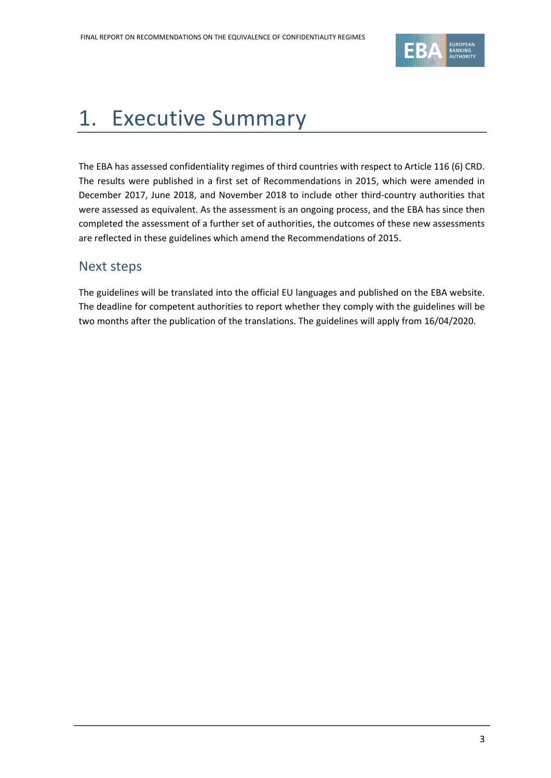

### <span id="page-2-0"></span>1. Executive Summary

The EBA has assessed confidentiality regimes of third countries with respect to Article 116 (6) CRD. The results were published in a first set of Recommendations in 2015, which were amended in December 2017, June 2018, and November 2018 to include other third-country authorities that were assessed as equivalent. As the assessment is an ongoing process, and the EBA has since then completed the assessment of a further set of authorities, the outcomes of these new assessments are reflected in these guidelines which amend the Recommendations of 2015.

#### Next steps

The guidelines will be translated into the official EU languages and published on the EBA website. The deadline for competent authorities to report whether they comply with the guidelines will be two months after the publication of the translations. The guidelines will apply from 16/04/2020.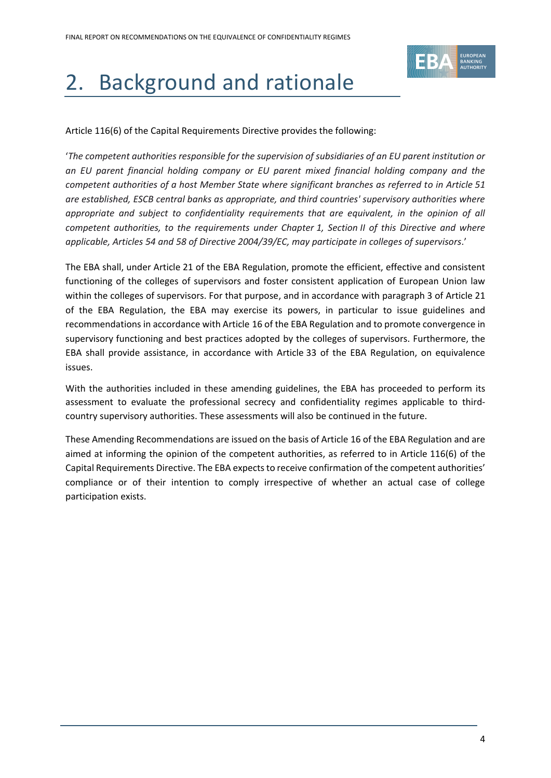

# <span id="page-3-0"></span>2. Background and rationale

Article 116(6) of the Capital Requirements Directive provides the following:

'*The competent authorities responsible for the supervision of subsidiaries of an EU parent institution or an EU parent financial holding company or EU parent mixed financial holding company and the competent authorities of a host Member State where significant branches as referred to in Article 51 are established, ESCB central banks as appropriate, and third countries' supervisory authorities where appropriate and subject to confidentiality requirements that are equivalent, in the opinion of all competent authorities, to the requirements under Chapter 1, Section II of this Directive and where applicable, Articles 54 and 58 of Directive 2004/39/EC, may participate in colleges of supervisors*.'

The EBA shall, under Article 21 of the EBA Regulation, promote the efficient, effective and consistent functioning of the colleges of supervisors and foster consistent application of European Union law within the colleges of supervisors. For that purpose, and in accordance with paragraph 3 of Article 21 of the EBA Regulation, the EBA may exercise its powers, in particular to issue guidelines and recommendations in accordance with Article 16 of the EBA Regulation and to promote convergence in supervisory functioning and best practices adopted by the colleges of supervisors. Furthermore, the EBA shall provide assistance, in accordance with Article 33 of the EBA Regulation, on equivalence issues.

With the authorities included in these amending guidelines, the EBA has proceeded to perform its assessment to evaluate the professional secrecy and confidentiality regimes applicable to thirdcountry supervisory authorities. These assessments will also be continued in the future.

These Amending Recommendations are issued on the basis of Article 16 of the EBA Regulation and are aimed at informing the opinion of the competent authorities, as referred to in Article 116(6) of the Capital Requirements Directive. The EBA expects to receive confirmation of the competent authorities' compliance or of their intention to comply irrespective of whether an actual case of college participation exists.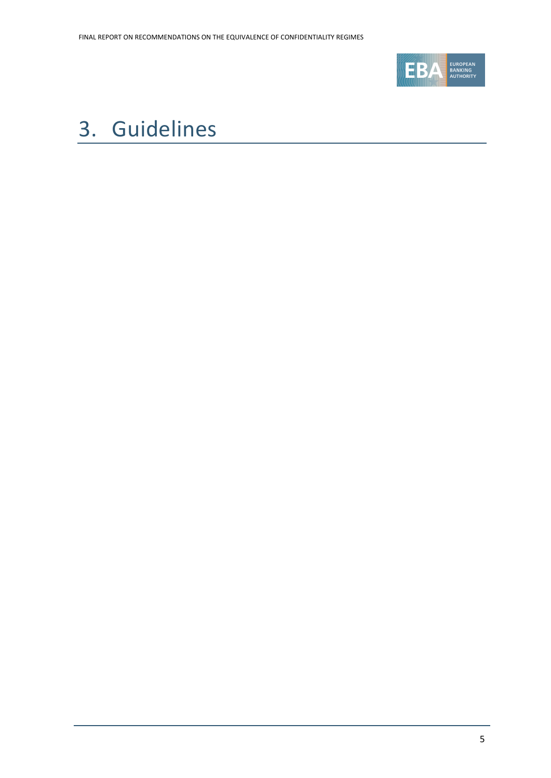

### <span id="page-4-0"></span>3. Guidelines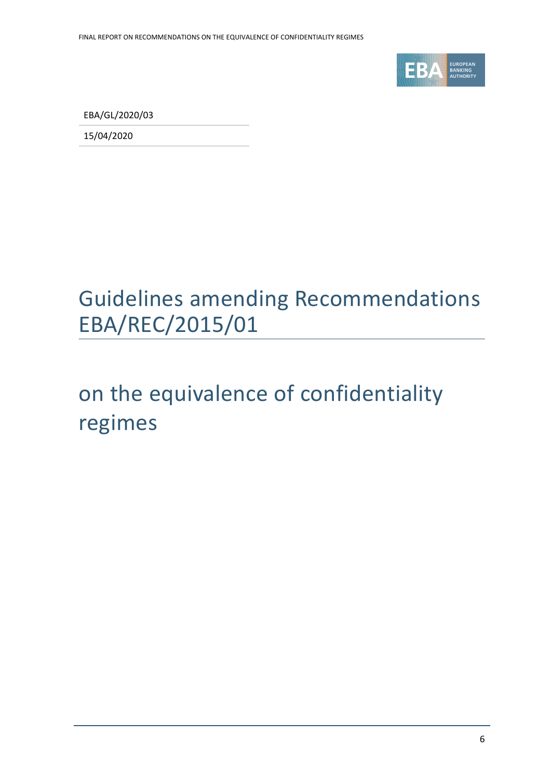

EBA/GL/2020/03

15/04/2020

## Guidelines amending Recommendations EBA/REC/2015/01

## on the equivalence of confidentiality regimes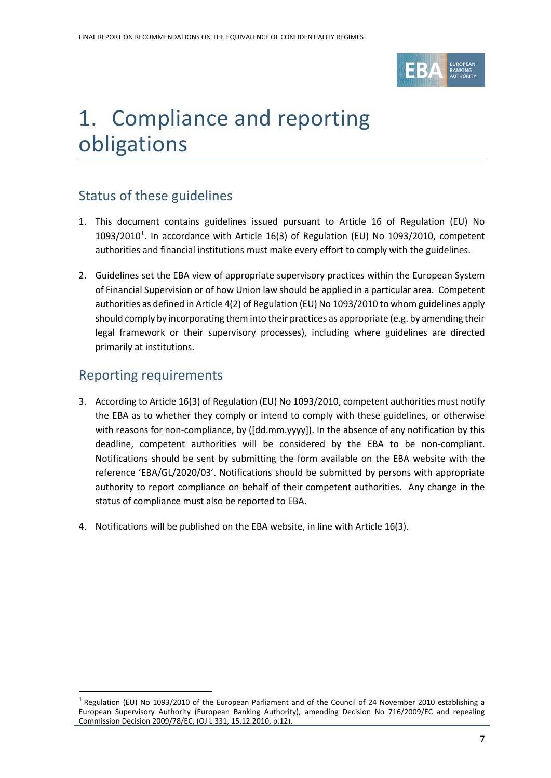

### 1. Compliance and reporting obligations

#### Status of these guidelines

- 1. This document contains guidelines issued pursuant to Article 16 of Regulation (EU) No  $1093/2010<sup>1</sup>$ . In accordance with Article 16(3) of Regulation (EU) No 1093/2010, competent authorities and financial institutions must make every effort to comply with the guidelines.
- 2. Guidelines set the EBA view of appropriate supervisory practices within the European System of Financial Supervision or of how Union law should be applied in a particular area. Competent authorities as defined in Article 4(2) of Regulation (EU) No 1093/2010 to whom guidelines apply should comply by incorporating them into their practices as appropriate (e.g. by amending their legal framework or their supervisory processes), including where guidelines are directed primarily at institutions.

#### Reporting requirements

 $\overline{a}$ 

- 3. According to Article 16(3) of Regulation (EU) No 1093/2010, competent authorities must notify the EBA as to whether they comply or intend to comply with these guidelines, or otherwise with reasons for non-compliance, by ([dd.mm.yyyy]). In the absence of any notification by this deadline, competent authorities will be considered by the EBA to be non-compliant. Notifications should be sent by submitting the form available on the EBA website with the reference 'EBA/GL/2020/03'. Notifications should be submitted by persons with appropriate authority to report compliance on behalf of their competent authorities. Any change in the status of compliance must also be reported to EBA.
- 4. Notifications will be published on the EBA website, in line with Article 16(3).

 $^1$  Regulation (EU) No 1093/2010 of the European Parliament and of the Council of 24 November 2010 establishing a European Supervisory Authority (European Banking Authority), amending Decision No 716/2009/EC and repealing Commission Decision 2009/78/EC, (OJ L 331, 15.12.2010, p.12).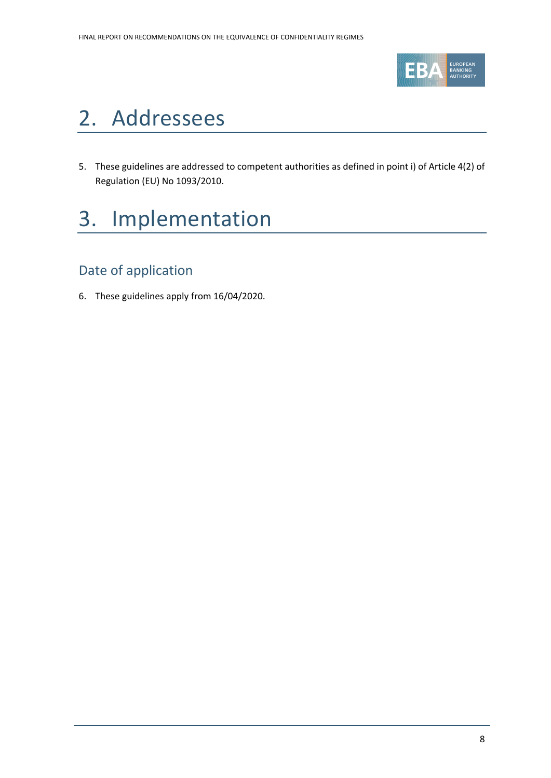

### 2. Addressees

5. These guidelines are addressed to competent authorities as defined in point i) of Article 4(2) of Regulation (EU) No 1093/2010.

## 3. Implementation

#### Date of application

6. These guidelines apply from 16/04/2020.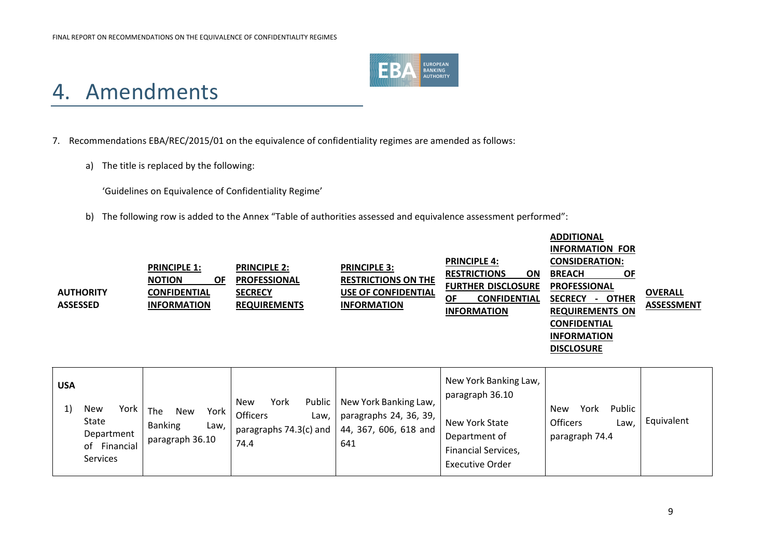

### 4. Amendments

7. Recommendations EBA/REC/2015/01 on the equivalence of confidentiality regimes are amended as follows:

a) The title is replaced by the following:

'Guidelines on Equivalence of Confidentiality Regime'

b) The following row is added to the Annex "Table of authorities assessed and equivalence assessment performed":

| <b>AUTHORITY</b><br><b>ASSESSED</b> | <b>PRINCIPLE 1:</b><br><b>NOTION</b><br><b>OF</b><br><b>CONFIDENTIAL</b><br><b>INFORMATION</b> | <b>PRINCIPLE 2:</b><br><b>PROFESSIONAL</b><br><b>SECRECY</b><br><b>REQUIREMENTS</b> | <b>PRINCIPLE 3:</b><br><b>RESTRICTIONS ON THE</b><br><b>USE OF CONFIDENTIAL</b><br><b>INFORMATION</b> | <b>PRINCIPLE 4:</b><br><b>RESTRICTIONS</b><br>ON<br><b>FURTHER DISCLOSURE</b><br><b>CONFIDENTIAL</b><br>ΟF<br><b>INFORMATION</b> | <b>ADDITIONAL</b><br><b>INFORMATION FOR</b><br><b>CONSIDERATION:</b><br><b>BREACH</b><br><b>OF</b><br><b>PROFESSIONAL</b><br><b>SECRECY</b><br>- OTHER<br><b>REQUIREMENTS ON</b><br><b>CONFIDENTIAL</b><br><b>INFORMATION</b><br><b>DISCLOSURE</b> | <b>OVERALL</b><br><b>ASSESSMENT</b> |
|-------------------------------------|------------------------------------------------------------------------------------------------|-------------------------------------------------------------------------------------|-------------------------------------------------------------------------------------------------------|----------------------------------------------------------------------------------------------------------------------------------|----------------------------------------------------------------------------------------------------------------------------------------------------------------------------------------------------------------------------------------------------|-------------------------------------|
| <b>USA</b>                          |                                                                                                | $\mathbf{M}$ and $\mathbf{M}$<br><b>Nicess</b>                                      | Dublin Alexandra Depliton Louis                                                                       | New York Banking Law,<br>paragraph 36.10                                                                                         |                                                                                                                                                                                                                                                    |                                     |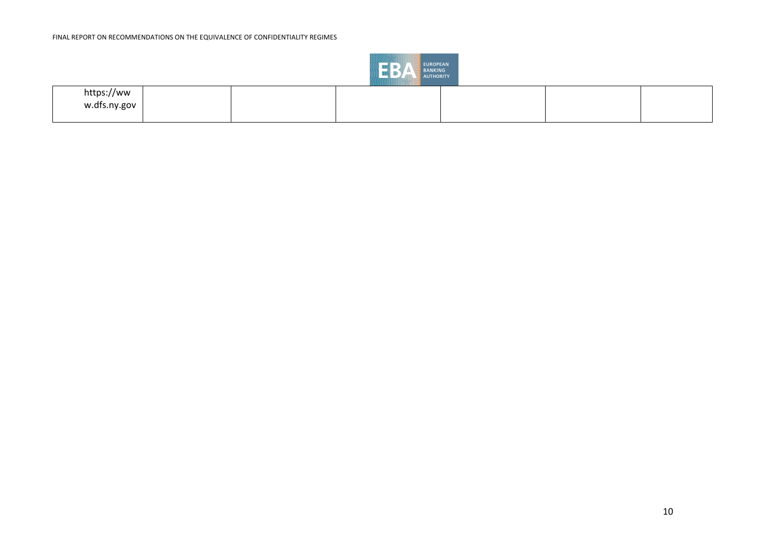

| \\\!!!!!!!   |  |  |  |  |  |  |  |
|--------------|--|--|--|--|--|--|--|
| https://ww   |  |  |  |  |  |  |  |
| w.dfs.ny.gov |  |  |  |  |  |  |  |
|              |  |  |  |  |  |  |  |